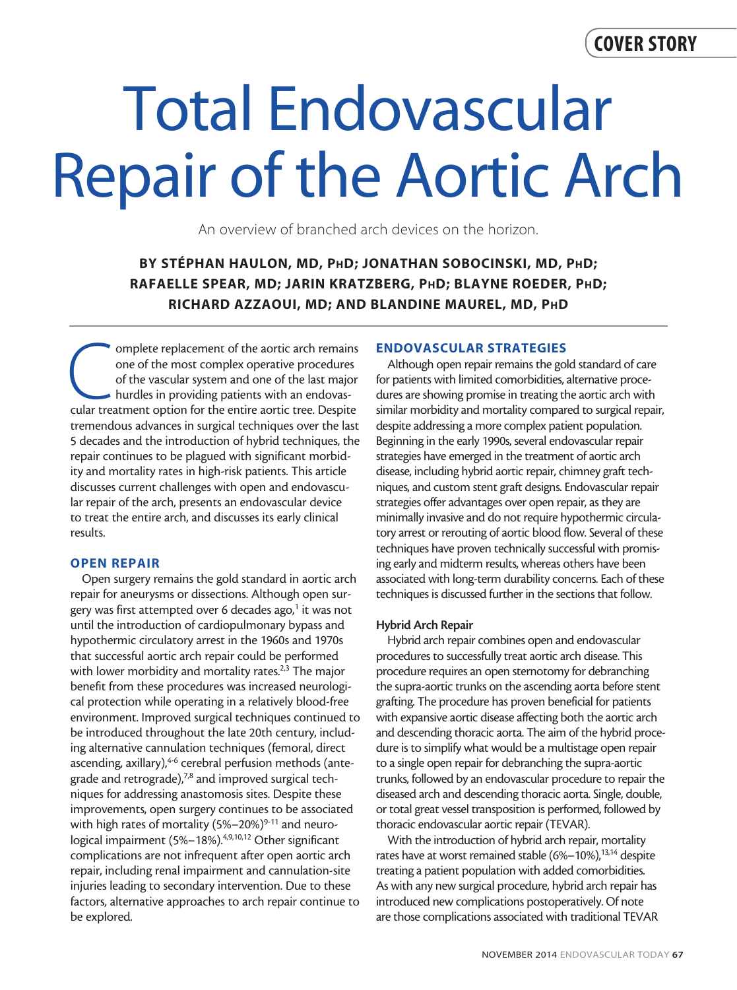## COVER STORY

# Total Endovascular Repair of the Aortic Arch

An overview of branched arch devices on the horizon.

### BY STÉPHAN HAULON, MD, PhD; JONATHAN SOBOCINSKI, MD, PhD; RAFAELLE SPEAR, MD; JARIN KRATZBERG, PhD; BLAYNE ROEDER, PhD; RICHARD AZZAOUI, MD; AND BLANDINE MAUREL, MD, PhD

**Complete replacement of the aortic arch remains** one of the most complex operative procedures of the vascular system and one of the last major hurdles in providing patients with an endovascular treatment option for the en one of the most complex operative procedures of the vascular system and one of the last major hurdles in providing patients with an endovastremendous advances in surgical techniques over the last 5 decades and the introduction of hybrid techniques, the repair continues to be plagued with significant morbidity and mortality rates in high-risk patients. This article discusses current challenges with open and endovascular repair of the arch, presents an endovascular device to treat the entire arch, and discusses its early clinical results.

#### OPEN REPAIR

Open surgery remains the gold standard in aortic arch repair for aneurysms or dissections. Although open surgery was first attempted over 6 decades ago,<sup>1</sup> it was not until the introduction of cardiopulmonary bypass and hypothermic circulatory arrest in the 1960s and 1970s that successful aortic arch repair could be performed with lower morbidity and mortality rates.<sup>2,3</sup> The major benefit from these procedures was increased neurological protection while operating in a relatively blood-free environment. Improved surgical techniques continued to be introduced throughout the late 20th century, including alternative cannulation techniques (femoral, direct ascending, axillary), <sup>4-6</sup> cerebral perfusion methods (antegrade and retrograde),<sup>7,8</sup> and improved surgical techniques for addressing anastomosis sites. Despite these improvements, open surgery continues to be associated with high rates of mortality  $(5\% - 20\%)^{9-11}$  and neurological impairment (5%-18%).<sup>4,9,10,12</sup> Other significant complications are not infrequent after open aortic arch repair, including renal impairment and cannulation-site injuries leading to secondary intervention. Due to these factors, alternative approaches to arch repair continue to be explored.

#### ENDOVASCULAR STRATEGIES

Although open repair remains the gold standard of care for patients with limited comorbidities, alternative procedures are showing promise in treating the aortic arch with similar morbidity and mortality compared to surgical repair, despite addressing a more complex patient population. Beginning in the early 1990s, several endovascular repair strategies have emerged in the treatment of aortic arch disease, including hybrid aortic repair, chimney graft techniques, and custom stent graft designs. Endovascular repair strategies offer advantages over open repair, as they are minimally invasive and do not require hypothermic circulatory arrest or rerouting of aortic blood flow. Several of these techniques have proven technically successful with promising early and midterm results, whereas others have been associated with long-term durability concerns. Each of these techniques is discussed further in the sections that follow.

#### Hybrid Arch Repair

Hybrid arch repair combines open and endovascular procedures to successfully treat aortic arch disease. This procedure requires an open sternotomy for debranching the supra-aortic trunks on the ascending aorta before stent grafting. The procedure has proven beneficial for patients with expansive aortic disease affecting both the aortic arch and descending thoracic aorta. The aim of the hybrid procedure is to simplify what would be a multistage open repair to a single open repair for debranching the supra-aortic trunks, followed by an endovascular procedure to repair the diseased arch and descending thoracic aorta. Single, double, or total great vessel transposition is performed, followed by thoracic endovascular aortic repair (TEVAR).

With the introduction of hybrid arch repair, mortality rates have at worst remained stable (6%-10%),<sup>13,14</sup> despite treating a patient population with added comorbidities. As with any new surgical procedure, hybrid arch repair has introduced new complications postoperatively. Of note are those complications associated with traditional TEVAR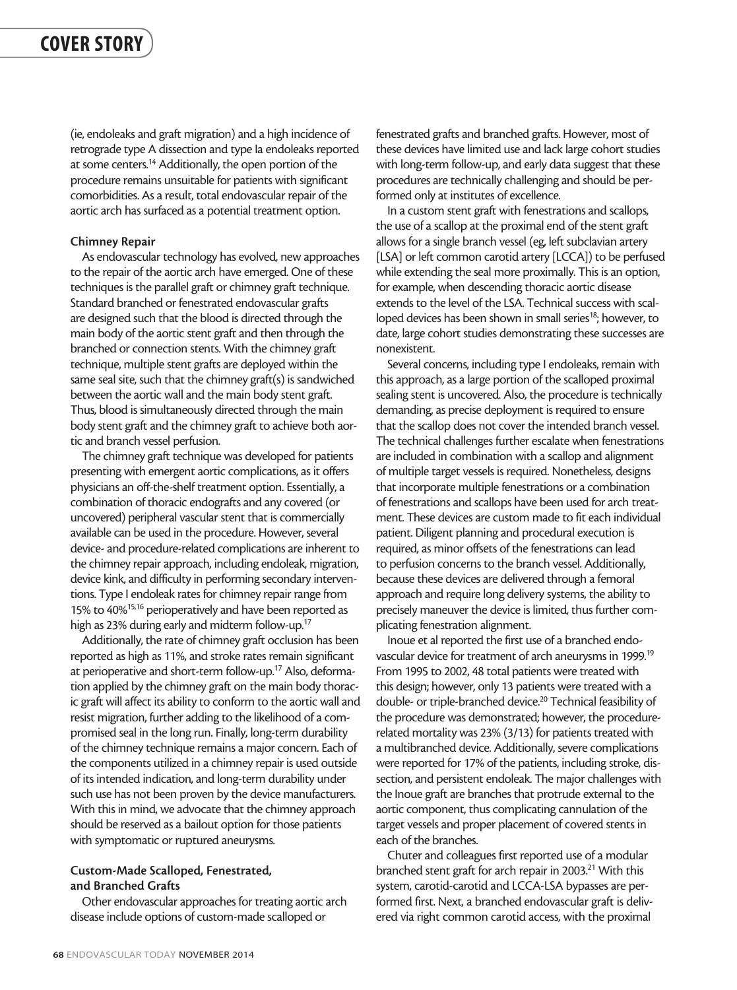(ie, endoleaks and graft migration) and a high incidence of retrograde type A dissection and type Ia endoleaks reported at some centers.<sup>14</sup> Additionally, the open portion of the procedure remains unsuitable for patients with significant comorbidities. As a result, total endovascular repair of the aortic arch has surfaced as a potential treatment option.

#### Chimney Repair

As endovascular technology has evolved, new approaches to the repair of the aortic arch have emerged. One of these techniques is the parallel graft or chimney graft technique. Standard branched or fenestrated endovascular grafts are designed such that the blood is directed through the main body of the aortic stent graft and then through the branched or connection stents. With the chimney graft technique, multiple stent grafts are deployed within the same seal site, such that the chimney graft(s) is sandwiched between the aortic wall and the main body stent graft. Thus, blood is simultaneously directed through the main body stent graft and the chimney graft to achieve both aortic and branch vessel perfusion.

The chimney graft technique was developed for patients presenting with emergent aortic complications, as it offers physicians an off-the-shelf treatment option. Essentially, a combination of thoracic endografts and any covered (or uncovered) peripheral vascular stent that is commercially available can be used in the procedure. However, several device- and procedure-related complications are inherent to the chimney repair approach, including endoleak, migration, device kink, and difficulty in performing secondary interventions. Type I endoleak rates for chimney repair range from 15% to 40%<sup>15,16</sup> perioperatively and have been reported as high as 23% during early and midterm follow-up.<sup>17</sup>

Additionally, the rate of chimney graft occlusion has been reported as high as 11%, and stroke rates remain significant at perioperative and short-term follow-up.17 Also, deformation applied by the chimney graft on the main body thoracic graft will affect its ability to conform to the aortic wall and resist migration, further adding to the likelihood of a compromised seal in the long run. Finally, long-term durability of the chimney technique remains a major concern. Each of the components utilized in a chimney repair is used outside of its intended indication, and long-term durability under such use has not been proven by the device manufacturers. With this in mind, we advocate that the chimney approach should be reserved as a bailout option for those patients with symptomatic or ruptured aneurysms.

#### Custom-Made Scalloped, Fenestrated, and Branched Grafts

Other endovascular approaches for treating aortic arch disease include options of custom-made scalloped or

fenestrated grafts and branched grafts. However, most of these devices have limited use and lack large cohort studies with long-term follow-up, and early data suggest that these procedures are technically challenging and should be performed only at institutes of excellence.

In a custom stent graft with fenestrations and scallops, the use of a scallop at the proximal end of the stent graft allows for a single branch vessel (eg, left subclavian artery [LSA] or left common carotid artery [LCCA]) to be perfused while extending the seal more proximally. This is an option, for example, when descending thoracic aortic disease extends to the level of the LSA. Technical success with scalloped devices has been shown in small series<sup>18</sup>; however, to date, large cohort studies demonstrating these successes are nonexistent.

Several concerns, including type I endoleaks, remain with this approach, as a large portion of the scalloped proximal sealing stent is uncovered. Also, the procedure is technically demanding, as precise deployment is required to ensure that the scallop does not cover the intended branch vessel. The technical challenges further escalate when fenestrations are included in combination with a scallop and alignment of multiple target vessels is required. Nonetheless, designs that incorporate multiple fenestrations or a combination of fenestrations and scallops have been used for arch treatment. These devices are custom made to fit each individual patient. Diligent planning and procedural execution is required, as minor offsets of the fenestrations can lead to perfusion concerns to the branch vessel. Additionally, because these devices are delivered through a femoral approach and require long delivery systems, the ability to precisely maneuver the device is limited, thus further complicating fenestration alignment.

Inoue et al reported the first use of a branched endovascular device for treatment of arch aneurysms in 1999.19 From 1995 to 2002, 48 total patients were treated with this design; however, only 13 patients were treated with a double- or triple-branched device.<sup>20</sup> Technical feasibility of the procedure was demonstrated; however, the procedurerelated mortality was 23% (3/13) for patients treated with a multibranched device. Additionally, severe complications were reported for 17% of the patients, including stroke, dissection, and persistent endoleak. The major challenges with the Inoue graft are branches that protrude external to the aortic component, thus complicating cannulation of the target vessels and proper placement of covered stents in each of the branches.

Chuter and colleagues first reported use of a modular branched stent graft for arch repair in 2003.<sup>21</sup> With this system, carotid-carotid and LCCA-LSA bypasses are performed first. Next, a branched endovascular graft is delivered via right common carotid access, with the proximal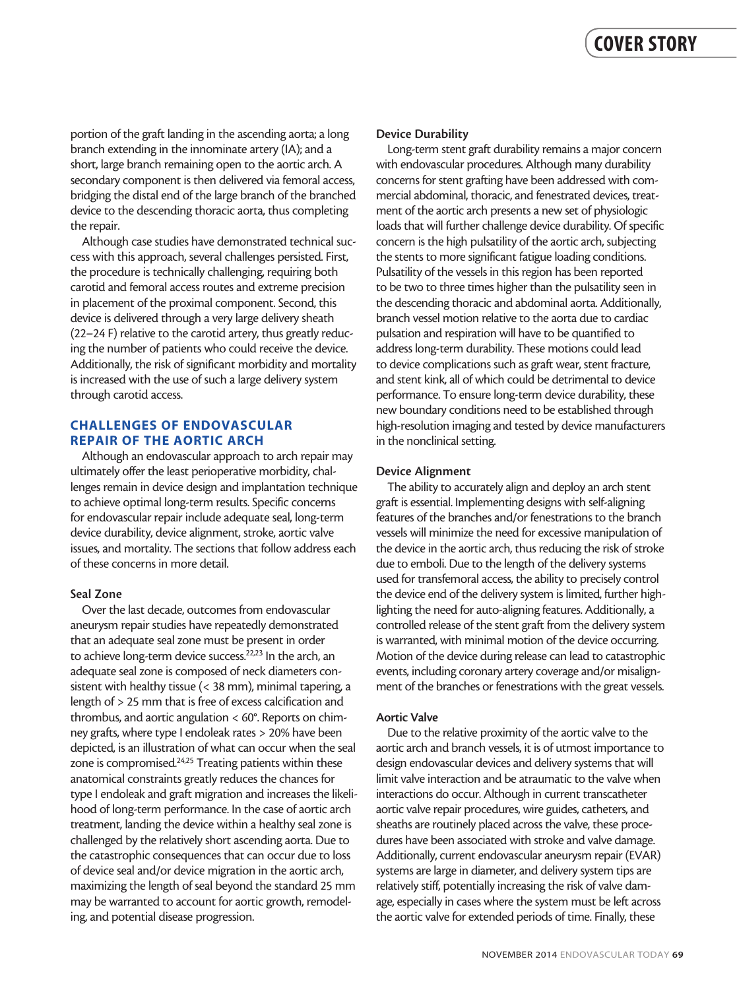portion of the graft landing in the ascending aorta; a long branch extending in the innominate artery (IA); and a short, large branch remaining open to the aortic arch. A secondary component is then delivered via femoral access, bridging the distal end of the large branch of the branched device to the descending thoracic aorta, thus completing the repair.

Although case studies have demonstrated technical success with this approach, several challenges persisted. First, the procedure is technically challenging, requiring both carotid and femoral access routes and extreme precision in placement of the proximal component. Second, this device is delivered through a very large delivery sheath (22–24 F) relative to the carotid artery, thus greatly reducing the number of patients who could receive the device. Additionally, the risk of significant morbidity and mortality is increased with the use of such a large delivery system through carotid access.

#### CHALLENGES OF ENDOVASCULAR REPAIR OF THE AORTIC ARCH

Although an endovascular approach to arch repair may ultimately offer the least perioperative morbidity, challenges remain in device design and implantation technique to achieve optimal long-term results. Specific concerns for endovascular repair include adequate seal, long-term device durability, device alignment, stroke, aortic valve issues, and mortality. The sections that follow address each of these concerns in more detail.

#### Seal Zone

Over the last decade, outcomes from endovascular aneurysm repair studies have repeatedly demonstrated that an adequate seal zone must be present in order to achieve long-term device success.<sup>22,23</sup> In the arch, an adequate seal zone is composed of neck diameters consistent with healthy tissue (< 38 mm), minimal tapering, a length of > 25 mm that is free of excess calcification and thrombus, and aortic angulation < 60°. Reports on chimney grafts, where type I endoleak rates > 20% have been depicted, is an illustration of what can occur when the seal zone is compromised.<sup>24,25</sup> Treating patients within these anatomical constraints greatly reduces the chances for type I endoleak and graft migration and increases the likelihood of long-term performance. In the case of aortic arch treatment, landing the device within a healthy seal zone is challenged by the relatively short ascending aorta. Due to the catastrophic consequences that can occur due to loss of device seal and/or device migration in the aortic arch, maximizing the length of seal beyond the standard 25 mm may be warranted to account for aortic growth, remodeling, and potential disease progression.

#### Device Durability

Long-term stent graft durability remains a major concern with endovascular procedures. Although many durability concerns for stent grafting have been addressed with commercial abdominal, thoracic, and fenestrated devices, treatment of the aortic arch presents a new set of physiologic loads that will further challenge device durability. Of specific concern is the high pulsatility of the aortic arch, subjecting the stents to more significant fatigue loading conditions. Pulsatility of the vessels in this region has been reported to be two to three times higher than the pulsatility seen in the descending thoracic and abdominal aorta. Additionally, branch vessel motion relative to the aorta due to cardiac pulsation and respiration will have to be quantified to address long-term durability. These motions could lead to device complications such as graft wear, stent fracture, and stent kink, all of which could be detrimental to device performance. To ensure long-term device durability, these new boundary conditions need to be established through high-resolution imaging and tested by device manufacturers in the nonclinical setting.

#### Device Alignment

The ability to accurately align and deploy an arch stent graft is essential. Implementing designs with self-aligning features of the branches and/or fenestrations to the branch vessels will minimize the need for excessive manipulation of the device in the aortic arch, thus reducing the risk of stroke due to emboli. Due to the length of the delivery systems used for transfemoral access, the ability to precisely control the device end of the delivery system is limited, further highlighting the need for auto-aligning features. Additionally, a controlled release of the stent graft from the delivery system is warranted, with minimal motion of the device occurring. Motion of the device during release can lead to catastrophic events, including coronary artery coverage and/or misalignment of the branches or fenestrations with the great vessels.

#### Aortic Valve

Due to the relative proximity of the aortic valve to the aortic arch and branch vessels, it is of utmost importance to design endovascular devices and delivery systems that will limit valve interaction and be atraumatic to the valve when interactions do occur. Although in current transcatheter aortic valve repair procedures, wire guides, catheters, and sheaths are routinely placed across the valve, these procedures have been associated with stroke and valve damage. Additionally, current endovascular aneurysm repair (EVAR) systems are large in diameter, and delivery system tips are relatively stiff, potentially increasing the risk of valve damage, especially in cases where the system must be left across the aortic valve for extended periods of time. Finally, these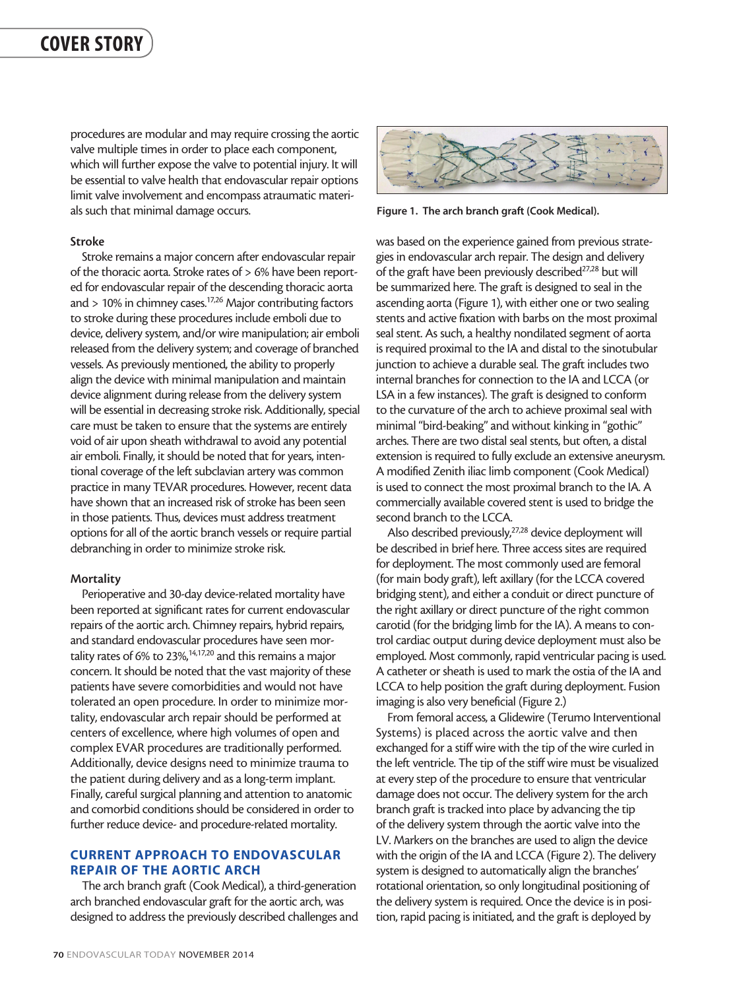## COVER STORY

procedures are modular and may require crossing the aortic valve multiple times in order to place each component, which will further expose the valve to potential injury. It will be essential to valve health that endovascular repair options limit valve involvement and encompass atraumatic materials such that minimal damage occurs.

#### Stroke

Stroke remains a major concern after endovascular repair of the thoracic aorta. Stroke rates of > 6% have been reported for endovascular repair of the descending thoracic aorta and > 10% in chimney cases.17,26 Major contributing factors to stroke during these procedures include emboli due to device, delivery system, and/or wire manipulation; air emboli released from the delivery system; and coverage of branched vessels. As previously mentioned, the ability to properly align the device with minimal manipulation and maintain device alignment during release from the delivery system will be essential in decreasing stroke risk. Additionally, special care must be taken to ensure that the systems are entirely void of air upon sheath withdrawal to avoid any potential air emboli. Finally, it should be noted that for years, intentional coverage of the left subclavian artery was common practice in many TEVAR procedures. However, recent data have shown that an increased risk of stroke has been seen in those patients. Thus, devices must address treatment options for all of the aortic branch vessels or require partial debranching in order to minimize stroke risk.

#### **Mortality**

Perioperative and 30-day device-related mortality have been reported at significant rates for current endovascular repairs of the aortic arch. Chimney repairs, hybrid repairs, and standard endovascular procedures have seen mortality rates of 6% to 23%,<sup>14,17,20</sup> and this remains a major concern. It should be noted that the vast majority of these patients have severe comorbidities and would not have tolerated an open procedure. In order to minimize mortality, endovascular arch repair should be performed at centers of excellence, where high volumes of open and complex EVAR procedures are traditionally performed. Additionally, device designs need to minimize trauma to the patient during delivery and as a long-term implant. Finally, careful surgical planning and attention to anatomic and comorbid conditions should be considered in order to further reduce device- and procedure-related mortality.

#### CURRENT APPROACH TO ENDOVASCULAR REPAIR OF THE AORTIC ARCH

The arch branch graft (Cook Medical), a third-generation arch branched endovascular graft for the aortic arch, was designed to address the previously described challenges and



Figure 1. The arch branch graft (Cook Medical).

was based on the experience gained from previous strategies in endovascular arch repair. The design and delivery of the graft have been previously described<sup>27,28</sup> but will be summarized here. The graft is designed to seal in the ascending aorta (Figure 1), with either one or two sealing stents and active fixation with barbs on the most proximal seal stent. As such, a healthy nondilated segment of aorta is required proximal to the IA and distal to the sinotubular junction to achieve a durable seal. The graft includes two internal branches for connection to the IA and LCCA (or LSA in a few instances). The graft is designed to conform to the curvature of the arch to achieve proximal seal with minimal "bird-beaking" and without kinking in "gothic" arches. There are two distal seal stents, but often, a distal extension is required to fully exclude an extensive aneurysm. A modified Zenith iliac limb component (Cook Medical) is used to connect the most proximal branch to the IA. A commercially available covered stent is used to bridge the second branch to the LCCA.

Also described previously,<sup>27,28</sup> device deployment will be described in brief here. Three access sites are required for deployment. The most commonly used are femoral (for main body graft), left axillary (for the LCCA covered bridging stent), and either a conduit or direct puncture of the right axillary or direct puncture of the right common carotid (for the bridging limb for the IA). A means to control cardiac output during device deployment must also be employed. Most commonly, rapid ventricular pacing is used. A catheter or sheath is used to mark the ostia of the IA and LCCA to help position the graft during deployment. Fusion imaging is also very beneficial (Figure 2.)

From femoral access, a Glidewire (Terumo Interventional Systems) is placed across the aortic valve and then exchanged for a stiff wire with the tip of the wire curled in the left ventricle. The tip of the stiff wire must be visualized at every step of the procedure to ensure that ventricular damage does not occur. The delivery system for the arch branch graft is tracked into place by advancing the tip of the delivery system through the aortic valve into the LV. Markers on the branches are used to align the device with the origin of the IA and LCCA (Figure 2). The delivery system is designed to automatically align the branches' rotational orientation, so only longitudinal positioning of the delivery system is required. Once the device is in position, rapid pacing is initiated, and the graft is deployed by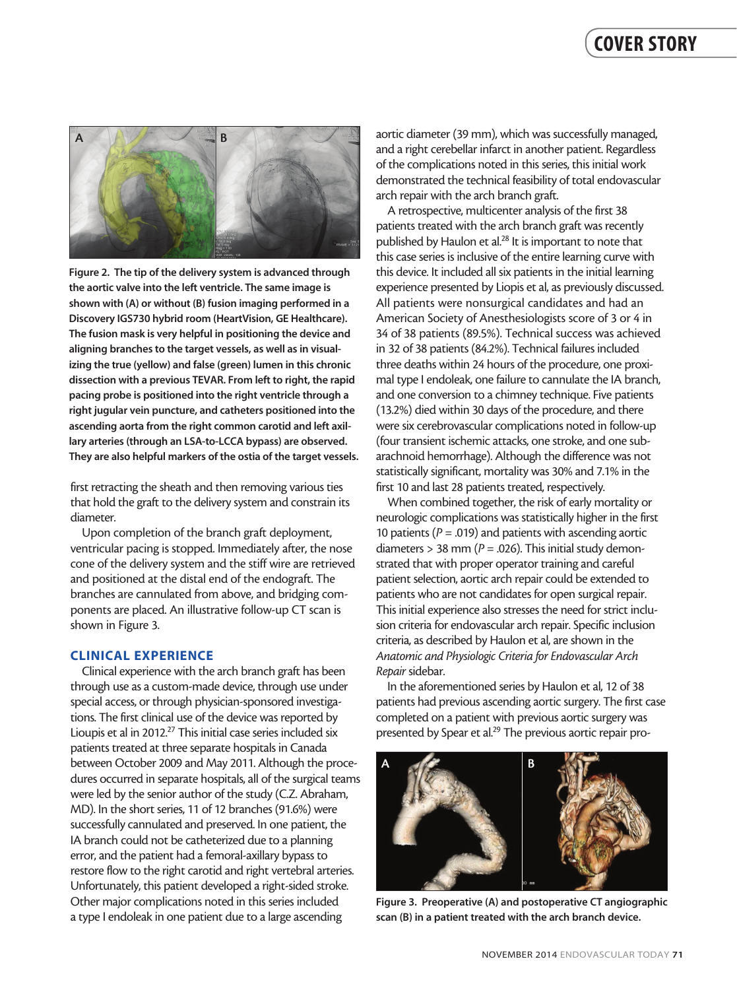## COVER STORY



Figure 2. The tip of the delivery system is advanced through the aortic valve into the left ventricle. The same image is shown with (A) or without (B) fusion imaging performed in a Discovery IGS730 hybrid room (HeartVision, GE Healthcare). The fusion mask is very helpful in positioning the device and aligning branches to the target vessels, as well as in visualizing the true (yellow) and false (green) lumen in this chronic dissection with a previous TEVAR. From left to right, the rapid pacing probe is positioned into the right ventricle through a right jugular vein puncture, and catheters positioned into the ascending aorta from the right common carotid and left axillary arteries (through an LSA-to-LCCA bypass) are observed. They are also helpful markers of the ostia of the target vessels.

first retracting the sheath and then removing various ties that hold the graft to the delivery system and constrain its diameter.

Upon completion of the branch graft deployment, ventricular pacing is stopped. Immediately after, the nose cone of the delivery system and the stiff wire are retrieved and positioned at the distal end of the endograft. The branches are cannulated from above, and bridging components are placed. An illustrative follow-up CT scan is shown in Figure 3.

#### CLINICAL EXPERIENCE

Clinical experience with the arch branch graft has been through use as a custom-made device, through use under special access, or through physician-sponsored investigations. The first clinical use of the device was reported by Lioupis et al in 2012.27 This initial case series included six patients treated at three separate hospitals in Canada between October 2009 and May 2011. Although the procedures occurred in separate hospitals, all of the surgical teams were led by the senior author of the study (C.Z. Abraham, MD). In the short series, 11 of 12 branches (91.6%) were successfully cannulated and preserved. In one patient, the IA branch could not be catheterized due to a planning error, and the patient had a femoral-axillary bypass to restore flow to the right carotid and right vertebral arteries. Unfortunately, this patient developed a right-sided stroke. Other major complications noted in this series included a type I endoleak in one patient due to a large ascending

aortic diameter (39 mm), which was successfully managed, and a right cerebellar infarct in another patient. Regardless of the complications noted in this series, this initial work demonstrated the technical feasibility of total endovascular arch repair with the arch branch graft.

A retrospective, multicenter analysis of the first 38 patients treated with the arch branch graft was recently published by Haulon et al.<sup>28</sup> It is important to note that this case series is inclusive of the entire learning curve with this device. It included all six patients in the initial learning experience presented by Liopis et al, as previously discussed. All patients were nonsurgical candidates and had an American Society of Anesthesiologists score of 3 or 4 in 34 of 38 patients (89.5%). Technical success was achieved in 32 of 38 patients (84.2%). Technical failures included three deaths within 24 hours of the procedure, one proximal type I endoleak, one failure to cannulate the IA branch, and one conversion to a chimney technique. Five patients (13.2%) died within 30 days of the procedure, and there were six cerebrovascular complications noted in follow-up (four transient ischemic attacks, one stroke, and one subarachnoid hemorrhage). Although the difference was not statistically significant, mortality was 30% and 7.1% in the first 10 and last 28 patients treated, respectively.

When combined together, the risk of early mortality or neurologic complications was statistically higher in the first 10 patients ( $P = .019$ ) and patients with ascending aortic diameters  $> 38$  mm ( $P = .026$ ). This initial study demonstrated that with proper operator training and careful patient selection, aortic arch repair could be extended to patients who are not candidates for open surgical repair. This initial experience also stresses the need for strict inclusion criteria for endovascular arch repair. Specific inclusion criteria, as described by Haulon et al, are shown in the *Anatomic and Physiologic Criteria for Endovascular Arch Repair* sidebar.

In the aforementioned series by Haulon et al, 12 of 38 patients had previous ascending aortic surgery. The first case completed on a patient with previous aortic surgery was presented by Spear et al.<sup>29</sup> The previous aortic repair pro-



Figure 3. Preoperative (A) and postoperative CT angiographic scan (B) in a patient treated with the arch branch device.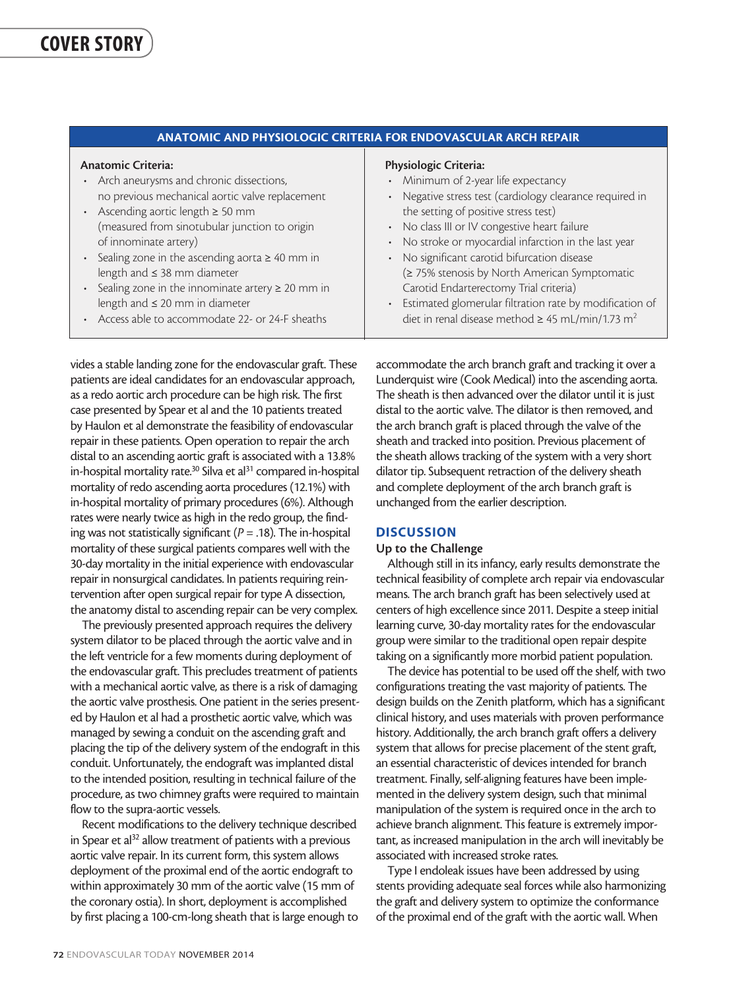| <b>ANATOMIC AND PHYSIOLOGIC CRITERIA FOR ENDOVASCULAR ARCH REPAIR</b> |                                                                   |
|-----------------------------------------------------------------------|-------------------------------------------------------------------|
| <b>Anatomic Criteria:</b>                                             | <b>Physiologic Criteria:</b>                                      |
| • Arch aneurysms and chronic dissections,                             | • Minimum of 2-year life expectancy                               |
| no previous mechanical aortic valve replacement                       | Negative stress test (cardiology clearance required in            |
| • Ascending aortic length $\geq 50$ mm                                | the setting of positive stress test)                              |
| (measured from sinotubular junction to origin                         | • No class III or IV congestive heart failure                     |
| of innominate artery)                                                 | No stroke or myocardial infarction in the last year               |
| • Sealing zone in the ascending aorta $\geq 40$ mm in                 | No significant carotid bifurcation disease                        |
| length and $\leq$ 38 mm diameter                                      | (≥ 75% stenosis by North American Symptomatic                     |
| • Sealing zone in the innominate artery $\geq 20$ mm in               | Carotid Endarterectomy Trial criteria)                            |
| length and $\leq 20$ mm in diameter                                   | • Estimated glomerular filtration rate by modification of         |
| • Access able to accommodate 22- or 24-F sheaths                      | diet in renal disease method $\geq$ 45 mL/min/1.73 m <sup>2</sup> |

vides a stable landing zone for the endovascular graft. These patients are ideal candidates for an endovascular approach, as a redo aortic arch procedure can be high risk. The first case presented by Spear et al and the 10 patients treated by Haulon et al demonstrate the feasibility of endovascular repair in these patients. Open operation to repair the arch distal to an ascending aortic graft is associated with a 13.8% in-hospital mortality rate.<sup>30</sup> Silva et al<sup>31</sup> compared in-hospital mortality of redo ascending aorta procedures (12.1%) with in-hospital mortality of primary procedures (6%). Although rates were nearly twice as high in the redo group, the finding was not statistically significant (*P* = .18). The in-hospital mortality of these surgical patients compares well with the 30-day mortality in the initial experience with endovascular repair in nonsurgical candidates. In patients requiring reintervention after open surgical repair for type A dissection, the anatomy distal to ascending repair can be very complex.

The previously presented approach requires the delivery system dilator to be placed through the aortic valve and in the left ventricle for a few moments during deployment of the endovascular graft. This precludes treatment of patients with a mechanical aortic valve, as there is a risk of damaging the aortic valve prosthesis. One patient in the series presented by Haulon et al had a prosthetic aortic valve, which was managed by sewing a conduit on the ascending graft and placing the tip of the delivery system of the endograft in this conduit. Unfortunately, the endograft was implanted distal to the intended position, resulting in technical failure of the procedure, as two chimney grafts were required to maintain flow to the supra-aortic vessels.

Recent modifications to the delivery technique described in Spear et al<sup>32</sup> allow treatment of patients with a previous aortic valve repair. In its current form, this system allows deployment of the proximal end of the aortic endograft to within approximately 30 mm of the aortic valve (15 mm of the coronary ostia). In short, deployment is accomplished by first placing a 100-cm-long sheath that is large enough to accommodate the arch branch graft and tracking it over a Lunderquist wire (Cook Medical) into the ascending aorta. The sheath is then advanced over the dilator until it is just distal to the aortic valve. The dilator is then removed, and the arch branch graft is placed through the valve of the sheath and tracked into position. Previous placement of the sheath allows tracking of the system with a very short dilator tip. Subsequent retraction of the delivery sheath and complete deployment of the arch branch graft is unchanged from the earlier description.

#### **DISCUSSION**

#### Up to the Challenge

Although still in its infancy, early results demonstrate the technical feasibility of complete arch repair via endovascular means. The arch branch graft has been selectively used at centers of high excellence since 2011. Despite a steep initial learning curve, 30-day mortality rates for the endovascular group were similar to the traditional open repair despite taking on a significantly more morbid patient population.

The device has potential to be used off the shelf, with two configurations treating the vast majority of patients. The design builds on the Zenith platform, which has a significant clinical history, and uses materials with proven performance history. Additionally, the arch branch graft offers a delivery system that allows for precise placement of the stent graft, an essential characteristic of devices intended for branch treatment. Finally, self-aligning features have been implemented in the delivery system design, such that minimal manipulation of the system is required once in the arch to achieve branch alignment. This feature is extremely important, as increased manipulation in the arch will inevitably be associated with increased stroke rates.

Type I endoleak issues have been addressed by using stents providing adequate seal forces while also harmonizing the graft and delivery system to optimize the conformance of the proximal end of the graft with the aortic wall. When